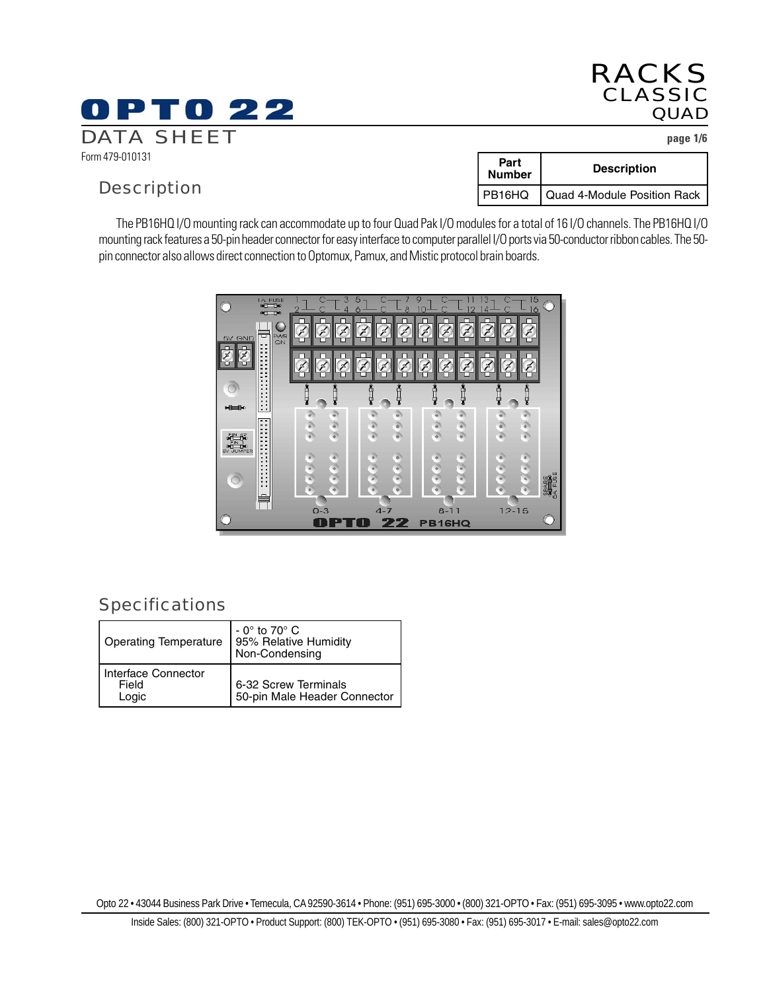## RACKS CLASSIC **QUAD**

## Specifications

| <b>Operating Temperature</b>          | $-0^\circ$ to 70 $^\circ$ C<br>95% Relative Humidity<br>Non-Condensing |
|---------------------------------------|------------------------------------------------------------------------|
| Interface Connector<br>Field<br>Logic | 6-32 Screw Terminals<br>50-pin Male Header Connector                   |

Opto 22 • 43044 Business Park Drive • Temecula, CA 92590-3614 • Phone: (951) 695-3000 • (800) 321-OPTO • Fax: (951) 695-3095 • www.opto22.com

Form 479-010131

## Description

| Part<br><b>Number</b> | <b>Description</b>          |
|-----------------------|-----------------------------|
| PB16HQ                | Quad 4-Module Position Rack |

The PB16HQ I/O mounting rack can accommodate up to four Quad Pak I/O modules for a total of 16 I/O channels. The PB16HQ I/O mounting rack features a 50-pin header connector for easy interface to computer parallel I/O ports via 50-conductor ribbon cables. The 50 pin connector also allows direct connection to Optomux, Pamux, and Mistic protocol brain boards.



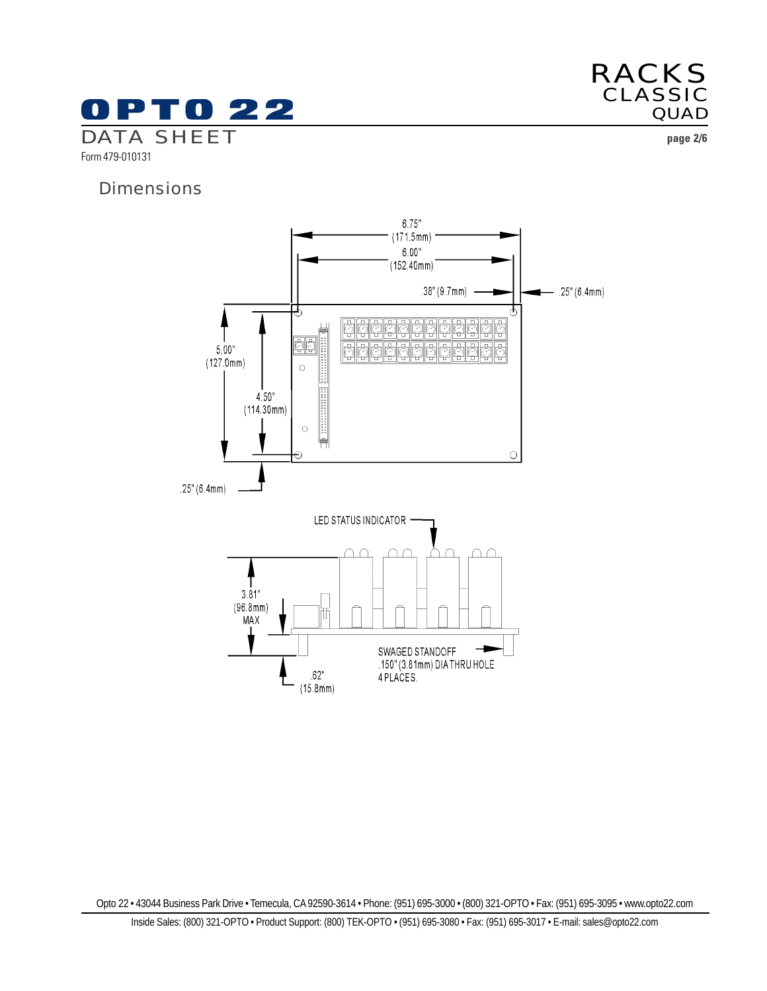



**Dimensions** 

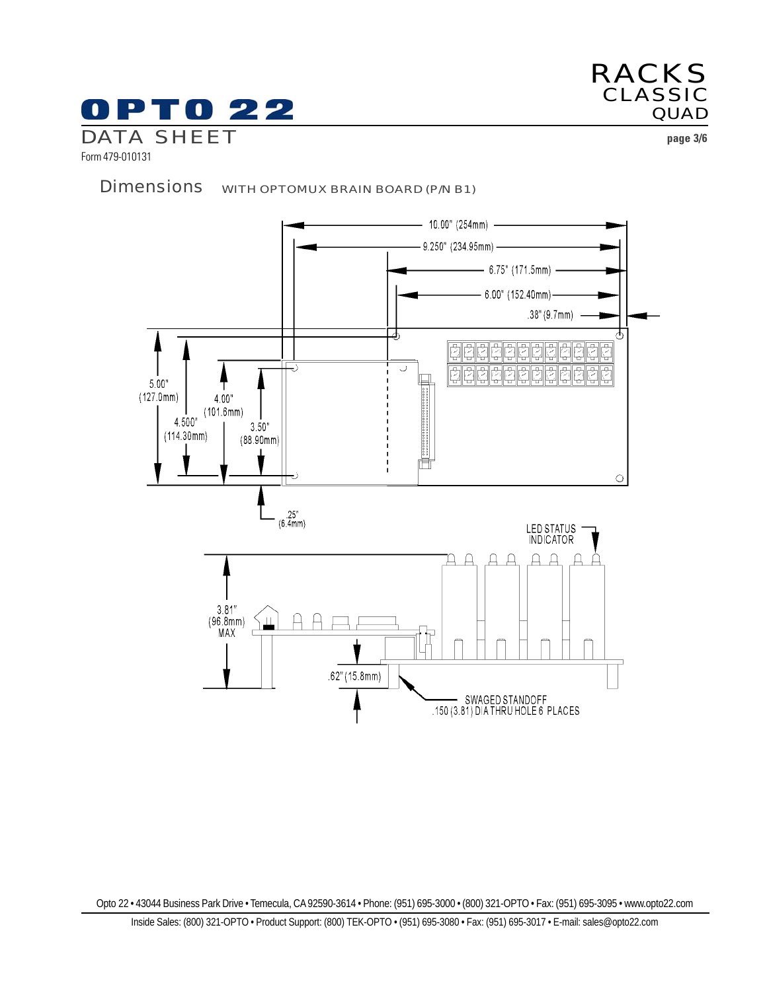



Form 479-010131

Dimensions WITH OPTOMUX BRAIN BOARD (P/N B1)

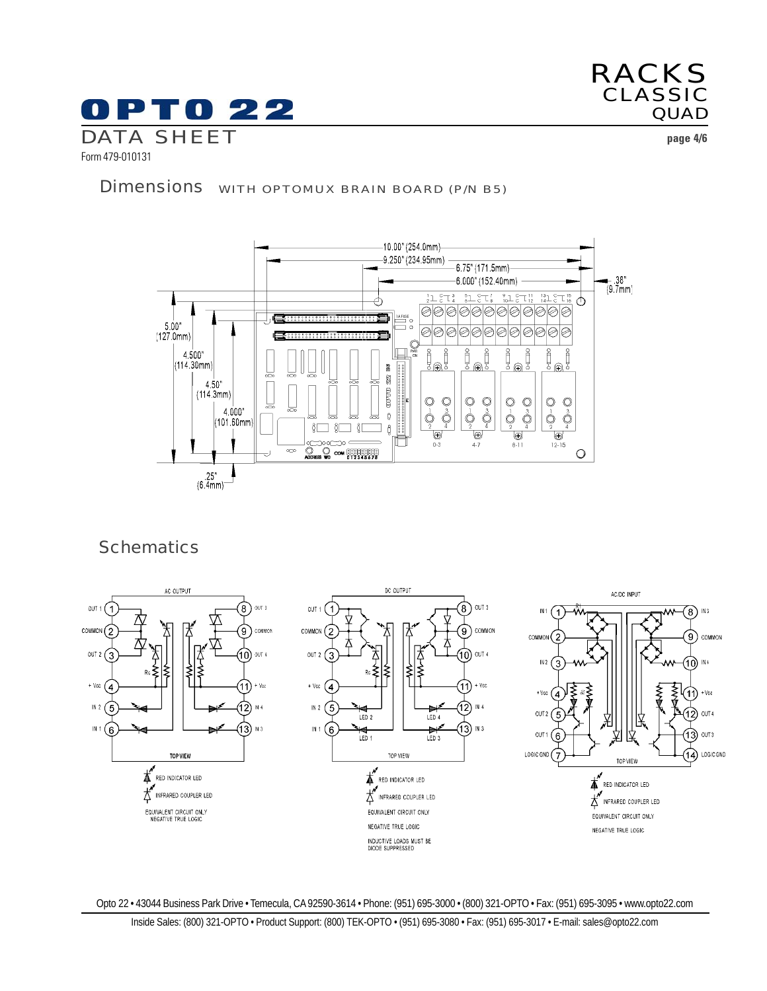

RACKS CLASSIC **QUAD** 

Form 479-010131

## Dimensions WITH OPTOMUX BRAIN BOARD (P/N B5)



## **Schematics**

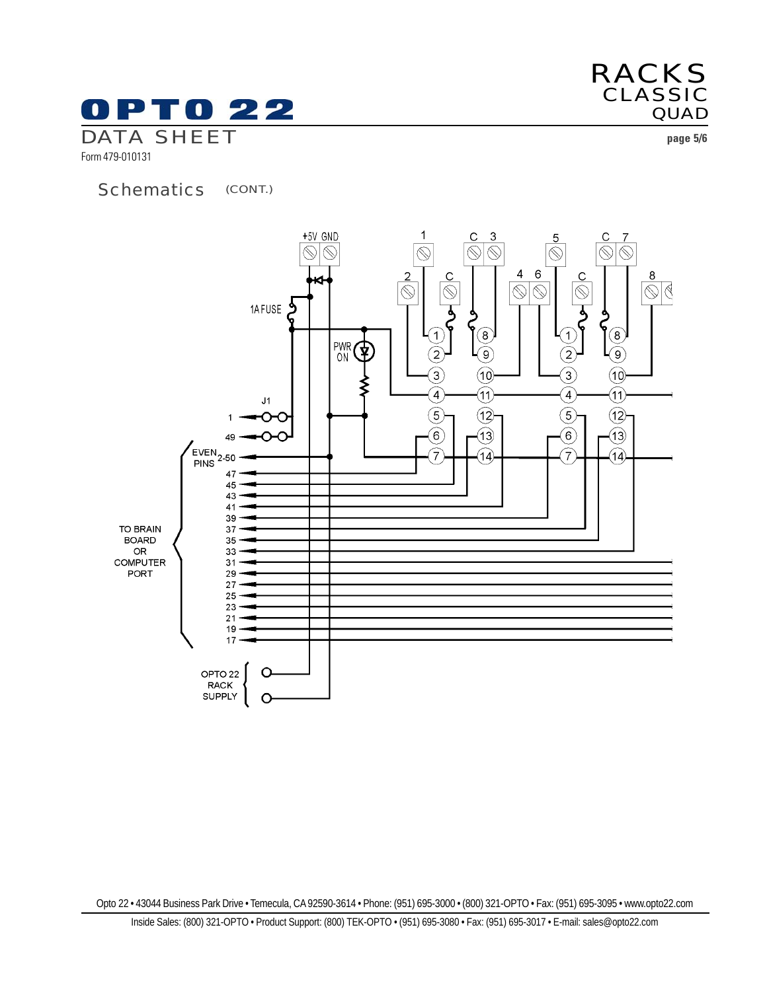

Form 479-010131

## Schematics (CONT.)



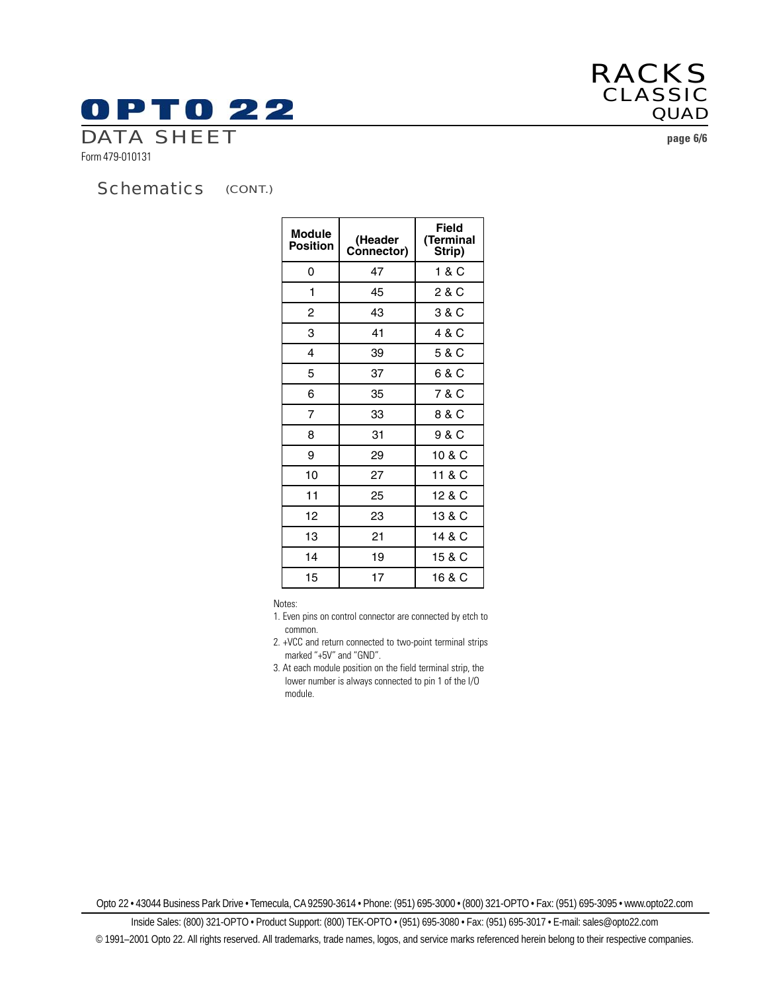# **OPTO 22** DATA SHEET **page 6/6**

Form 479-010131

#### (CONT.) **Schematics**

| <b>Module</b><br><b>Position</b> | (Header<br>Connector) | Field<br>(Terminal<br>Strip) |
|----------------------------------|-----------------------|------------------------------|
| 0                                | 47                    | 1 & C                        |
| 1                                | 45                    | 2 & C                        |
| 2                                | 43                    | 3 & C                        |
| 3                                | 41                    | 4 & C                        |
| 4                                | 39                    | 5 & C                        |
| 5                                | 37                    | 6 & C                        |
| 6                                | 35                    | 7 & C                        |
| 7                                | 33                    | 8 & C                        |
| 8                                | 31                    | 9 & C                        |
| 9                                | 29                    | 10 & C                       |
| 10                               | 27                    | 11 & C                       |
| 11                               | 25                    | 12 & C                       |
| 12                               | 23                    | 13 & C                       |
| 13                               | 21                    | 14 & C                       |
| 14                               | 19                    | 15 & C                       |
| 15                               | 17                    | 16 & C                       |

Notes:

- 1. Even pins on control connector are connected by etch to common.
- 2. +VCC and return connected to two-point terminal strips marked "+5V" and "GND".
- 3. At each module position on the field terminal strip, the lower number is always connected to pin 1 of the I/O module.